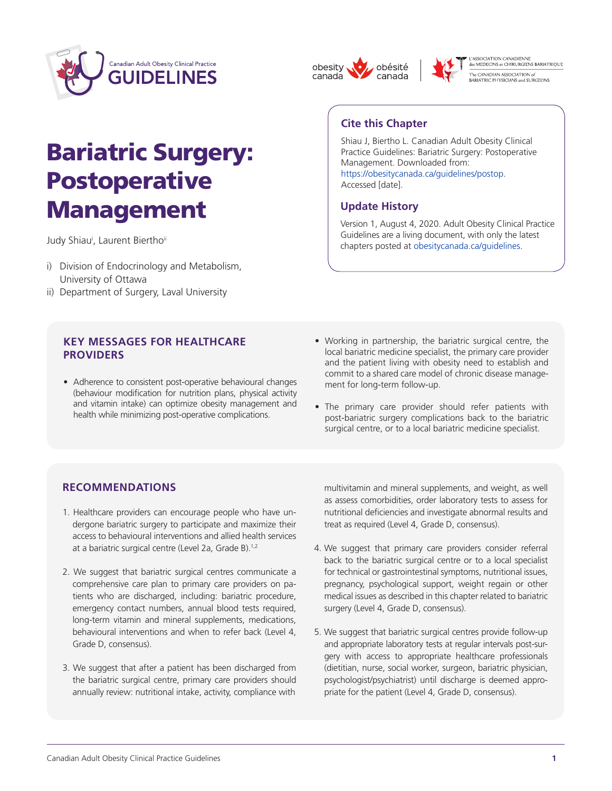

# Bariatric Surgery: **Postoperative** Management

Judy Shiau<sup>i</sup>, Laurent Biertho<sup>ii</sup>

- i) Division of Endocrinology and Metabolism, University of Ottawa
- ii) Department of Surgery, Laval University

## **KEY MESSAGES FOR HEALTHCARE PROVIDERS**

- Adherence to consistent post-operative behavioural changes (behaviour modification for nutrition plans, physical activity and vitamin intake) can optimize obesity management and health while minimizing post-operative complications.
- Working in partnership, the bariatric surgical centre, the local bariatric medicine specialist, the primary care provider and the patient living with obesity need to establish and commit to a shared care model of chronic disease management for long-term follow-up.
- The primary care provider should refer patients with post-bariatric surgery complications back to the bariatric surgical centre, or to a local bariatric medicine specialist.

## **RECOMMENDATIONS**

- 1. Healthcare providers can encourage people who have undergone bariatric surgery to participate and maximize their access to behavioural interventions and allied health services at a bariatric surgical centre (Level 2a, Grade B).1,2
- 2. We suggest that bariatric surgical centres communicate a comprehensive care plan to primary care providers on patients who are discharged, including: bariatric procedure, emergency contact numbers, annual blood tests required, long-term vitamin and mineral supplements, medications, behavioural interventions and when to refer back (Level 4, Grade D, consensus).
- 3. We suggest that after a patient has been discharged from the bariatric surgical centre, primary care providers should annually review: nutritional intake, activity, compliance with

multivitamin and mineral supplements, and weight, as well as assess comorbidities, order laboratory tests to assess for nutritional deficiencies and investigate abnormal results and treat as required (Level 4, Grade D, consensus).

- 4. We suggest that primary care providers consider referral back to the bariatric surgical centre or to a local specialist for technical or gastrointestinal symptoms, nutritional issues, pregnancy, psychological support, weight regain or other medical issues as described in this chapter related to bariatric surgery (Level 4, Grade D, consensus).
- 5. We suggest that bariatric surgical centres provide follow-up and appropriate laboratory tests at regular intervals post-surgery with access to appropriate healthcare professionals (dietitian, nurse, social worker, surgeon, bariatric physician, psychologist/psychiatrist) until discharge is deemed appropriate for the patient (Level 4, Grade D, consensus).

# **Cite this Chapter**

obesity

canada

Shiau J, Biertho L. Canadian Adult Obesity Clinical Practice Guidelines: Bariatric Surgery: Postoperative Management. Downloaded from: [https://obesitycanada.ca/guidelines/postop.](https://obesitycanada.ca/guidelines/postop) Accessed [date].

L'ASSOCIATION CANADIENNE<br>des MEDECINS et CHIRURGIENS BARIATRIQUE

-<br>The CANADIAN ASSOCIATION of<br>BARIATRIC PHYSICIANS and SURGEONS

## **Update History**

obésité

canada

Version 1, August 4, 2020. Adult Obesity Clinical Practice Guidelines are a living document, with only the latest chapters posted at [obesitycanada.ca/guidelines.](https://obesitycanada.ca/guidelines/)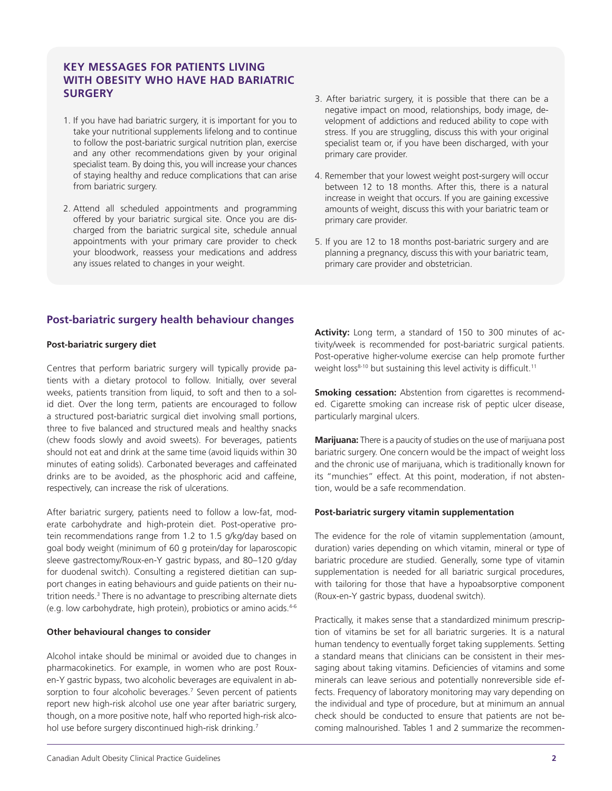## **KEY MESSAGES FOR PATIENTS LIVING WITH OBESITY WHO HAVE HAD BARIATRIC SURGERY**

- 1. If you have had bariatric surgery, it is important for you to take your nutritional supplements lifelong and to continue to follow the post-bariatric surgical nutrition plan, exercise and any other recommendations given by your original specialist team. By doing this, you will increase your chances of staying healthy and reduce complications that can arise from bariatric surgery.
- 2. Attend all scheduled appointments and programming offered by your bariatric surgical site. Once you are discharged from the bariatric surgical site, schedule annual appointments with your primary care provider to check your bloodwork, reassess your medications and address any issues related to changes in your weight.
- 3. After bariatric surgery, it is possible that there can be a negative impact on mood, relationships, body image, development of addictions and reduced ability to cope with stress. If you are struggling, discuss this with your original specialist team or, if you have been discharged, with your primary care provider.
- 4. Remember that your lowest weight post-surgery will occur between 12 to 18 months. After this, there is a natural increase in weight that occurs. If you are gaining excessive amounts of weight, discuss this with your bariatric team or primary care provider.
- 5. If you are 12 to 18 months post-bariatric surgery and are planning a pregnancy, discuss this with your bariatric team, primary care provider and obstetrician.

## **Post-bariatric surgery health behaviour changes**

#### **Post-bariatric surgery diet**

Centres that perform bariatric surgery will typically provide patients with a dietary protocol to follow. Initially, over several weeks, patients transition from liquid, to soft and then to a solid diet. Over the long term, patients are encouraged to follow a structured post-bariatric surgical diet involving small portions, three to five balanced and structured meals and healthy snacks (chew foods slowly and avoid sweets). For beverages, patients should not eat and drink at the same time (avoid liquids within 30 minutes of eating solids). Carbonated beverages and caffeinated drinks are to be avoided, as the phosphoric acid and caffeine, respectively, can increase the risk of ulcerations.

After bariatric surgery, patients need to follow a low-fat, moderate carbohydrate and high-protein diet. Post-operative protein recommendations range from 1.2 to 1.5 g/kg/day based on goal body weight (minimum of 60 g protein/day for laparoscopic sleeve gastrectomy/Roux-en-Y gastric bypass, and 80–120 g/day for duodenal switch). Consulting a registered dietitian can support changes in eating behaviours and guide patients on their nutrition needs.<sup>3</sup> There is no advantage to prescribing alternate diets (e.g. low carbohydrate, high protein), probiotics or amino acids.4-6

#### **Other behavioural changes to consider**

Alcohol intake should be minimal or avoided due to changes in pharmacokinetics. For example, in women who are post Rouxen-Y gastric bypass, two alcoholic beverages are equivalent in absorption to four alcoholic beverages.<sup>7</sup> Seven percent of patients report new high-risk alcohol use one year after bariatric surgery, though, on a more positive note, half who reported high-risk alcohol use before surgery discontinued high-risk drinking.<sup>7</sup>

**Activity:** Long term, a standard of 150 to 300 minutes of activity/week is recommended for post-bariatric surgical patients. Post-operative higher-volume exercise can help promote further weight loss<sup>8-10</sup> but sustaining this level activity is difficult.<sup>11</sup>

**Smoking cessation:** Abstention from cigarettes is recommended. Cigarette smoking can increase risk of peptic ulcer disease, particularly marginal ulcers.

**Marijuana:** There is a paucity of studies on the use of marijuana post bariatric surgery. One concern would be the impact of weight loss and the chronic use of marijuana, which is traditionally known for its "munchies" effect. At this point, moderation, if not abstention, would be a safe recommendation.

#### **Post-bariatric surgery vitamin supplementation**

The evidence for the role of vitamin supplementation (amount, duration) varies depending on which vitamin, mineral or type of bariatric procedure are studied. Generally, some type of vitamin supplementation is needed for all bariatric surgical procedures, with tailoring for those that have a hypoabsorptive component (Roux-en-Y gastric bypass, duodenal switch).

Practically, it makes sense that a standardized minimum prescription of vitamins be set for all bariatric surgeries. It is a natural human tendency to eventually forget taking supplements. Setting a standard means that clinicians can be consistent in their messaging about taking vitamins. Deficiencies of vitamins and some minerals can leave serious and potentially nonreversible side effects. Frequency of laboratory monitoring may vary depending on the individual and type of procedure, but at minimum an annual check should be conducted to ensure that patients are not becoming malnourished. Tables 1 and 2 summarize the recommen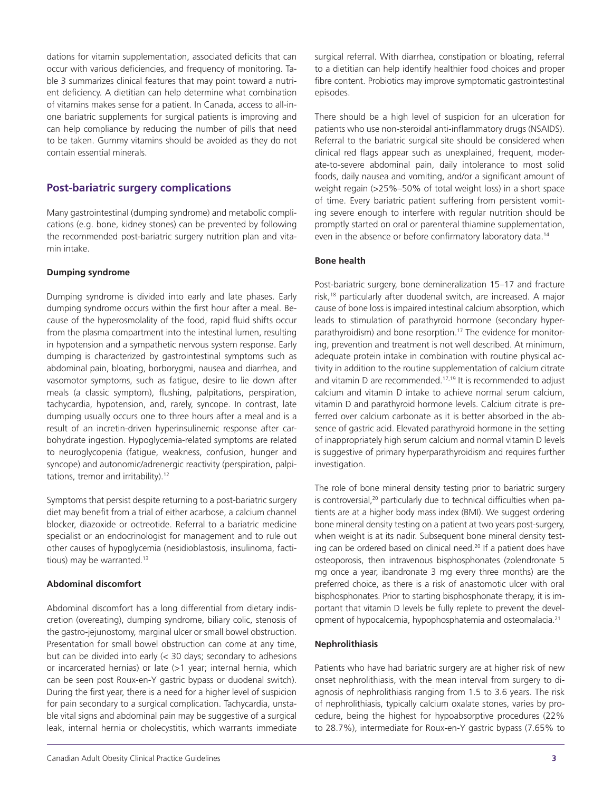dations for vitamin supplementation, associated deficits that can occur with various deficiencies, and frequency of monitoring. Table 3 summarizes clinical features that may point toward a nutrient deficiency. A dietitian can help determine what combination of vitamins makes sense for a patient. In Canada, access to all-inone bariatric supplements for surgical patients is improving and can help compliance by reducing the number of pills that need to be taken. Gummy vitamins should be avoided as they do not contain essential minerals.

## **Post-bariatric surgery complications**

Many gastrointestinal (dumping syndrome) and metabolic complications (e.g. bone, kidney stones) can be prevented by following the recommended post-bariatric surgery nutrition plan and vitamin intake.

#### **Dumping syndrome**

Dumping syndrome is divided into early and late phases. Early dumping syndrome occurs within the first hour after a meal. Because of the hyperosmolality of the food, rapid fluid shifts occur from the plasma compartment into the intestinal lumen, resulting in hypotension and a sympathetic nervous system response. Early dumping is characterized by gastrointestinal symptoms such as abdominal pain, bloating, borborygmi, nausea and diarrhea, and vasomotor symptoms, such as fatigue, desire to lie down after meals (a classic symptom), flushing, palpitations, perspiration, tachycardia, hypotension, and, rarely, syncope. In contrast, late dumping usually occurs one to three hours after a meal and is a result of an incretin-driven hyperinsulinemic response after carbohydrate ingestion. Hypoglycemia-related symptoms are related to neuroglycopenia (fatigue, weakness, confusion, hunger and syncope) and autonomic/adrenergic reactivity (perspiration, palpitations, tremor and irritability).<sup>12</sup>

Symptoms that persist despite returning to a post-bariatric surgery diet may benefit from a trial of either acarbose, a calcium channel blocker, diazoxide or octreotide. Referral to a bariatric medicine specialist or an endocrinologist for management and to rule out other causes of hypoglycemia (nesidioblastosis, insulinoma, factitious) may be warranted.<sup>13</sup>

#### **Abdominal discomfort**

Abdominal discomfort has a long differential from dietary indiscretion (overeating), dumping syndrome, biliary colic, stenosis of the gastro-jejunostomy, marginal ulcer or small bowel obstruction. Presentation for small bowel obstruction can come at any time, but can be divided into early (< 30 days; secondary to adhesions or incarcerated hernias) or late (>1 year; internal hernia, which can be seen post Roux-en-Y gastric bypass or duodenal switch). During the first year, there is a need for a higher level of suspicion for pain secondary to a surgical complication. Tachycardia, unstable vital signs and abdominal pain may be suggestive of a surgical leak, internal hernia or cholecystitis, which warrants immediate

surgical referral. With diarrhea, constipation or bloating, referral to a dietitian can help identify healthier food choices and proper fibre content. Probiotics may improve symptomatic gastrointestinal episodes.

There should be a high level of suspicion for an ulceration for patients who use non-steroidal anti-inflammatory drugs (NSAIDS). Referral to the bariatric surgical site should be considered when clinical red flags appear such as unexplained, frequent, moderate-to-severe abdominal pain, daily intolerance to most solid foods, daily nausea and vomiting, and/or a significant amount of weight regain (>25%–50% of total weight loss) in a short space of time. Every bariatric patient suffering from persistent vomiting severe enough to interfere with regular nutrition should be promptly started on oral or parenteral thiamine supplementation, even in the absence or before confirmatory laboratory data.<sup>14</sup>

#### **Bone health**

Post-bariatric surgery, bone demineralization 15–17 and fracture risk,18 particularly after duodenal switch, are increased. A major cause of bone loss is impaired intestinal calcium absorption, which leads to stimulation of parathyroid hormone (secondary hyperparathyroidism) and bone resorption.<sup>17</sup> The evidence for monitoring, prevention and treatment is not well described. At minimum, adequate protein intake in combination with routine physical activity in addition to the routine supplementation of calcium citrate and vitamin D are recommended.<sup>17,19</sup> It is recommended to adjust calcium and vitamin D intake to achieve normal serum calcium, vitamin D and parathyroid hormone levels. Calcium citrate is preferred over calcium carbonate as it is better absorbed in the absence of gastric acid. Elevated parathyroid hormone in the setting of inappropriately high serum calcium and normal vitamin D levels is suggestive of primary hyperparathyroidism and requires further investigation.

The role of bone mineral density testing prior to bariatric surgery is controversial,<sup>20</sup> particularly due to technical difficulties when patients are at a higher body mass index (BMI). We suggest ordering bone mineral density testing on a patient at two years post-surgery, when weight is at its nadir. Subsequent bone mineral density testing can be ordered based on clinical need.<sup>20</sup> If a patient does have osteoporosis, then intravenous bisphosphonates (zolendronate 5 mg once a year, ibandronate 3 mg every three months) are the preferred choice, as there is a risk of anastomotic ulcer with oral bisphosphonates. Prior to starting bisphosphonate therapy, it is important that vitamin D levels be fully replete to prevent the development of hypocalcemia, hypophosphatemia and osteomalacia.21

#### **Nephrolithiasis**

Patients who have had bariatric surgery are at higher risk of new onset nephrolithiasis, with the mean interval from surgery to diagnosis of nephrolithiasis ranging from 1.5 to 3.6 years. The risk of nephrolithiasis, typically calcium oxalate stones, varies by procedure, being the highest for hypoabsorptive procedures (22% to 28.7%), intermediate for Roux-en-Y gastric bypass (7.65% to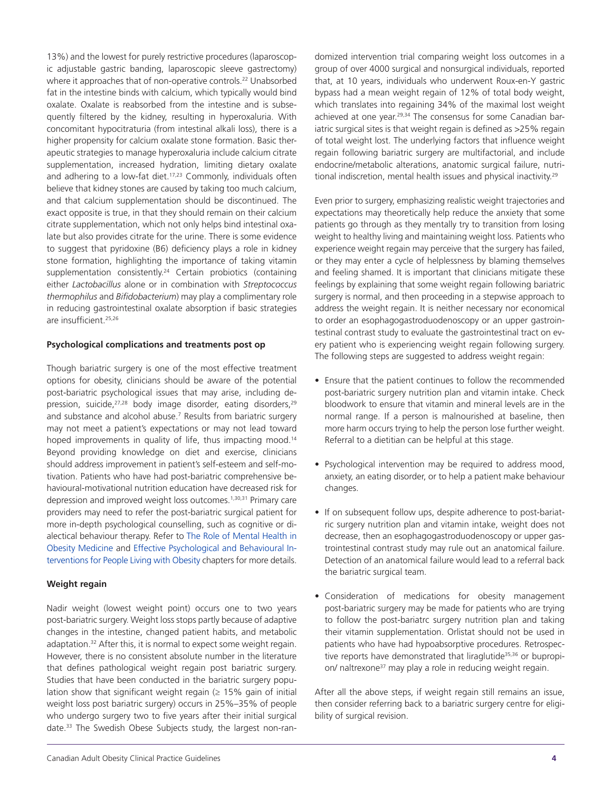13%) and the lowest for purely restrictive procedures (laparoscopic adjustable gastric banding, laparoscopic sleeve gastrectomy) where it approaches that of non-operative controls.<sup>22</sup> Unabsorbed fat in the intestine binds with calcium, which typically would bind oxalate. Oxalate is reabsorbed from the intestine and is subsequently filtered by the kidney, resulting in hyperoxaluria. With concomitant hypocitraturia (from intestinal alkali loss), there is a higher propensity for calcium oxalate stone formation. Basic therapeutic strategies to manage hyperoxaluria include calcium citrate supplementation, increased hydration, limiting dietary oxalate and adhering to a low-fat diet.<sup>17,23</sup> Commonly, individuals often believe that kidney stones are caused by taking too much calcium, and that calcium supplementation should be discontinued. The exact opposite is true, in that they should remain on their calcium citrate supplementation, which not only helps bind intestinal oxalate but also provides citrate for the urine. There is some evidence to suggest that pyridoxine (B6) deficiency plays a role in kidney stone formation, highlighting the importance of taking vitamin supplementation consistently. <sup>24</sup> Certain probiotics (containing either *Lactobacillus* alone or in combination with *Streptococcus thermophilus* and *Bifidobacterium*) may play a complimentary role in reducing gastrointestinal oxalate absorption if basic strategies are insufficient.25,26

#### **Psychological complications and treatments post op**

Though bariatric surgery is one of the most effective treatment options for obesity, clinicians should be aware of the potential post-bariatric psychological issues that may arise, including depression, suicide,<sup>27,28</sup> body image disorder, eating disorders,<sup>29</sup> and substance and alcohol abuse.<sup>7</sup> Results from bariatric surgery may not meet a patient's expectations or may not lead toward hoped improvements in quality of life, thus impacting mood.<sup>14</sup> Beyond providing knowledge on diet and exercise, clinicians should address improvement in patient's self-esteem and self-motivation. Patients who have had post-bariatric comprehensive behavioural-motivational nutrition education have decreased risk for depression and improved weight loss outcomes.<sup>1,30,31</sup> Primary care providers may need to refer the post-bariatric surgical patient for more in-depth psychological counselling, such as cognitive or dialectical behaviour therapy. Refer to The Role of [Mental](https://obesitycanada.ca/guidelines/mentalhealth) Health in Obesity [Medicine](https://obesitycanada.ca/guidelines/mentalhealth) and Effective [Psychological](https://obesitycanada.ca/guidelines/behavioural/) and Behavioural In[terventions](https://obesitycanada.ca/guidelines/mentalhealth) for People Living with Obesity chapters for more details.

#### **Weight regain**

Nadir weight (lowest weight point) occurs one to two years post-bariatric surgery. Weight loss stops partly because of adaptive changes in the intestine, changed patient habits, and metabolic adaptation.<sup>32</sup> After this, it is normal to expect some weight regain. However, there is no consistent absolute number in the literature that defines pathological weight regain post bariatric surgery. Studies that have been conducted in the bariatric surgery population show that significant weight regain  $(≥ 15%$  gain of initial weight loss post bariatric surgery) occurs in 25%–35% of people who undergo surgery two to five years after their initial surgical date.<sup>33</sup> The Swedish Obese Subjects study, the largest non-randomized intervention trial comparing weight loss outcomes in a group of over 4000 surgical and nonsurgical individuals, reported that, at 10 years, individuals who underwent Roux-en-Y gastric bypass had a mean weight regain of 12% of total body weight, which translates into regaining 34% of the maximal lost weight achieved at one year. 29,34 The consensus for some Canadian bariatric surgical sites is that weight regain is defined as >25% regain of total weight lost. The underlying factors that influence weight regain following bariatric surgery are multifactorial, and include endocrine/metabolic alterations, anatomic surgical failure, nutritional indiscretion, mental health issues and physical inactivity.<sup>29</sup>

Even prior to surgery, emphasizing realistic weight trajectories and expectations may theoretically help reduce the anxiety that some patients go through as they mentally try to transition from losing weight to healthy living and maintaining weight loss. Patients who experience weight regain may perceive that the surgery has failed, or they may enter a cycle of helplessness by blaming themselves and feeling shamed. It is important that clinicians mitigate these feelings by explaining that some weight regain following bariatric surgery is normal, and then proceeding in a stepwise approach to address the weight regain. It is neither necessary nor economical to order an esophagogastroduodenoscopy or an upper gastrointestinal contrast study to evaluate the gastrointestinal tract on every patient who is experiencing weight regain following surgery. The following steps are suggested to address weight regain:

- Ensure that the patient continues to follow the recommended post-bariatric surgery nutrition plan and vitamin intake. Check bloodwork to ensure that vitamin and mineral levels are in the normal range. If a person is malnourished at baseline, then more harm occurs trying to help the person lose further weight. Referral to a dietitian can be helpful at this stage.
- Psychological intervention may be required to address mood, anxiety, an eating disorder, or to help a patient make behaviour changes.
- If on subsequent follow ups, despite adherence to post-bariatric surgery nutrition plan and vitamin intake, weight does not decrease, then an esophagogastroduodenoscopy or upper gastrointestinal contrast study may rule out an anatomical failure. Detection of an anatomical failure would lead to a referral back the bariatric surgical team.
- Consideration of medications for obesity management post-bariatric surgery may be made for patients who are trying to follow the post-bariatrc surgery nutrition plan and taking their vitamin supplementation. Orlistat should not be used in patients who have had hypoabsorptive procedures. Retrospective reports have demonstrated that liraglutide<sup>35,36</sup> or bupropion/ naltrexone<sup>37</sup> may play a role in reducing weight regain.

After all the above steps, if weight regain still remains an issue, then consider referring back to a bariatric surgery centre for eligibility of surgical revision.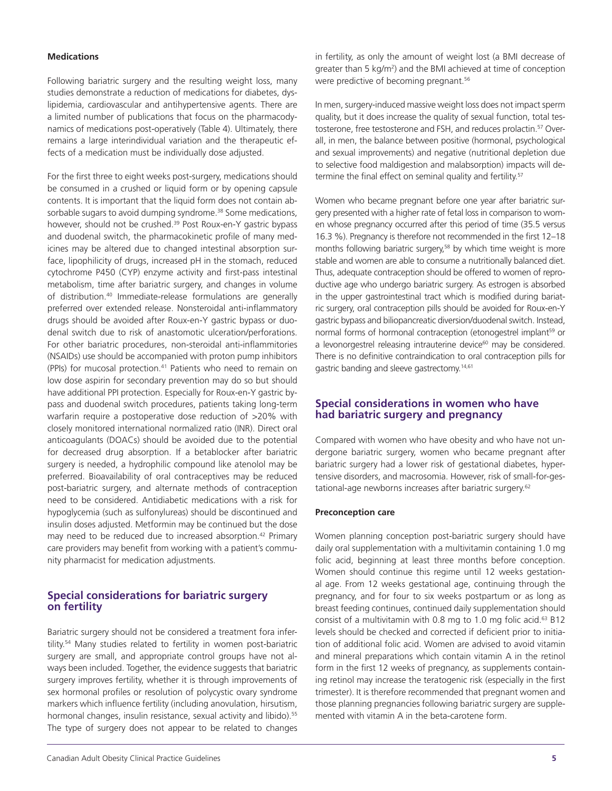#### **Medications**

Following bariatric surgery and the resulting weight loss, many studies demonstrate a reduction of medications for diabetes, dyslipidemia, cardiovascular and antihypertensive agents. There are a limited number of publications that focus on the pharmacodynamics of medications post-operatively (Table 4). Ultimately, there remains a large interindividual variation and the therapeutic effects of a medication must be individually dose adjusted.

For the first three to eight weeks post-surgery, medications should be consumed in a crushed or liquid form or by opening capsule contents. It is important that the liquid form does not contain absorbable sugars to avoid dumping syndrome.<sup>38</sup> Some medications, however, should not be crushed.<sup>39</sup> Post Roux-en-Y gastric bypass and duodenal switch, the pharmacokinetic profile of many medicines may be altered due to changed intestinal absorption surface, lipophilicity of drugs, increased pH in the stomach, reduced cytochrome P450 (CYP) enzyme activity and first-pass intestinal metabolism, time after bariatric surgery, and changes in volume of distribution.40 Immediate-release formulations are generally preferred over extended release. Nonsteroidal anti-inflammatory drugs should be avoided after Roux-en-Y gastric bypass or duodenal switch due to risk of anastomotic ulceration/perforations. For other bariatric procedures, non-steroidal anti-inflammitories (NSAIDs) use should be accompanied with proton pump inhibitors (PPIs) for mucosal protection.<sup>41</sup> Patients who need to remain on low dose aspirin for secondary prevention may do so but should have additional PPI protection. Especially for Roux-en-Y gastric bypass and duodenal switch procedures, patients taking long-term warfarin require a postoperative dose reduction of >20% with closely monitored international normalized ratio (INR). Direct oral anticoagulants (DOACs) should be avoided due to the potential for decreased drug absorption. If a betablocker after bariatric surgery is needed, a hydrophilic compound like atenolol may be preferred. Bioavailability of oral contraceptives may be reduced post-bariatric surgery, and alternate methods of contraception need to be considered. Antidiabetic medications with a risk for hypoglycemia (such as sulfonylureas) should be discontinued and insulin doses adjusted. Metformin may be continued but the dose may need to be reduced due to increased absorption.<sup>42</sup> Primary care providers may benefit from working with a patient's community pharmacist for medication adjustments.

#### **Special considerations for bariatric surgery on fertility**

Bariatric surgery should not be considered a treatment fora infertility.<sup>54</sup> Many studies related to fertility in women post-bariatric surgery are small, and appropriate control groups have not always been included. Together, the evidence suggests that bariatric surgery improves fertility, whether it is through improvements of sex hormonal profiles or resolution of polycystic ovary syndrome markers which influence fertility (including anovulation, hirsutism, hormonal changes, insulin resistance, sexual activity and libido).<sup>55</sup> The type of surgery does not appear to be related to changes

in fertility, as only the amount of weight lost (a BMI decrease of greater than 5 kg/m<sup>2</sup>) and the BMI achieved at time of conception were predictive of becoming pregnant.<sup>56</sup>

In men, surgery-induced massive weight loss does not impact sperm quality, but it does increase the quality of sexual function, total testosterone, free testosterone and FSH, and reduces prolactin.<sup>57</sup> Overall, in men, the balance between positive (hormonal, psychological and sexual improvements) and negative (nutritional depletion due to selective food maldigestion and malabsorption) impacts will determine the final effect on seminal quality and fertility.<sup>57</sup>

Women who became pregnant before one year after bariatric surgery presented with a higher rate of fetal loss in comparison to women whose pregnancy occurred after this period of time (35.5 versus 16.3 %). Pregnancy is therefore not recommended in the first 12–18 months following bariatric surgery,<sup>58</sup> by which time weight is more stable and women are able to consume a nutritionally balanced diet. Thus, adequate contraception should be offered to women of reproductive age who undergo bariatric surgery. As estrogen is absorbed in the upper gastrointestinal tract which is modified during bariatric surgery, oral contraception pills should be avoided for Roux-en-Y gastric bypass and biliopancreatic diversion/duodenal switch. Instead, normal forms of hormonal contraception (etonogestrel implant<sup>59</sup> or a levonorgestrel releasing intrauterine device<sup>60</sup> may be considered. There is no definitive contraindication to oral contraception pills for gastric banding and sleeve gastrectomy.<sup>14,61</sup>

### **Special considerations in women who have had bariatric surgery and pregnancy**

Compared with women who have obesity and who have not undergone bariatric surgery, women who became pregnant after bariatric surgery had a lower risk of gestational diabetes, hypertensive disorders, and macrosomia. However, risk of small-for-gestational-age newborns increases after bariatric surgery.62

#### **Preconception care**

Women planning conception post-bariatric surgery should have daily oral supplementation with a multivitamin containing 1.0 mg folic acid, beginning at least three months before conception. Women should continue this regime until 12 weeks gestational age. From 12 weeks gestational age, continuing through the pregnancy, and for four to six weeks postpartum or as long as breast feeding continues, continued daily supplementation should consist of a multivitamin with 0.8 mg to 1.0 mg folic acid.<sup>63</sup> B12 levels should be checked and corrected if deficient prior to initiation of additional folic acid. Women are advised to avoid vitamin and mineral preparations which contain vitamin A in the retinol form in the first 12 weeks of pregnancy, as supplements containing retinol may increase the teratogenic risk (especially in the first trimester). It is therefore recommended that pregnant women and those planning pregnancies following bariatric surgery are supplemented with vitamin A in the beta-carotene form.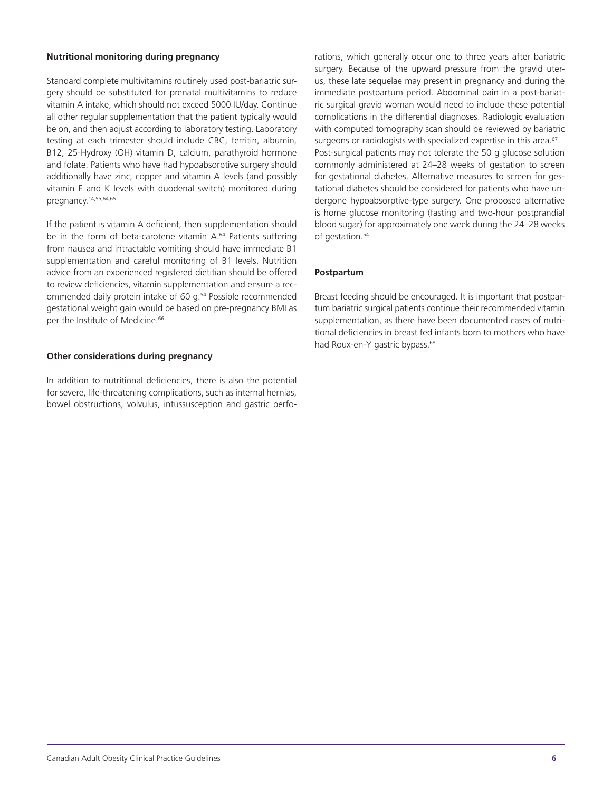#### **Nutritional monitoring during pregnancy**

Standard complete multivitamins routinely used post-bariatric surgery should be substituted for prenatal multivitamins to reduce vitamin A intake, which should not exceed 5000 IU/day. Continue all other regular supplementation that the patient typically would be on, and then adjust according to laboratory testing. Laboratory testing at each trimester should include CBC, ferritin, albumin, B12, 25-Hydroxy (OH) vitamin D, calcium, parathyroid hormone and folate. Patients who have had hypoabsorptive surgery should additionally have zinc, copper and vitamin A levels (and possibly vitamin E and K levels with duodenal switch) monitored during pregnancy.14,55,64,65

If the patient is vitamin A deficient, then supplementation should be in the form of beta-carotene vitamin A.<sup>64</sup> Patients suffering from nausea and intractable vomiting should have immediate B1 supplementation and careful monitoring of B1 levels. Nutrition advice from an experienced registered dietitian should be offered to review deficiencies, vitamin supplementation and ensure a recommended daily protein intake of 60 g.<sup>54</sup> Possible recommended gestational weight gain would be based on pre-pregnancy BMI as per the Institute of Medicine.<sup>66</sup>

#### **Other considerations during pregnancy**

In addition to nutritional deficiencies, there is also the potential for severe, life-threatening complications, such as internal hernias, bowel obstructions, volvulus, intussusception and gastric perforations, which generally occur one to three years after bariatric surgery. Because of the upward pressure from the gravid uterus, these late sequelae may present in pregnancy and during the immediate postpartum period. Abdominal pain in a post-bariatric surgical gravid woman would need to include these potential complications in the differential diagnoses. Radiologic evaluation with computed tomography scan should be reviewed by bariatric surgeons or radiologists with specialized expertise in this area.<sup>67</sup> Post-surgical patients may not tolerate the 50 g glucose solution commonly administered at 24–28 weeks of gestation to screen for gestational diabetes. Alternative measures to screen for gestational diabetes should be considered for patients who have undergone hypoabsorptive-type surgery. One proposed alternative is home glucose monitoring (fasting and two-hour postprandial blood sugar) for approximately one week during the 24–28 weeks of gestation.<sup>54</sup>

#### **Postpartum**

Breast feeding should be encouraged. It is important that postpartum bariatric surgical patients continue their recommended vitamin supplementation, as there have been documented cases of nutritional deficiencies in breast fed infants born to mothers who have had Roux-en-Y gastric bypass.<sup>68</sup>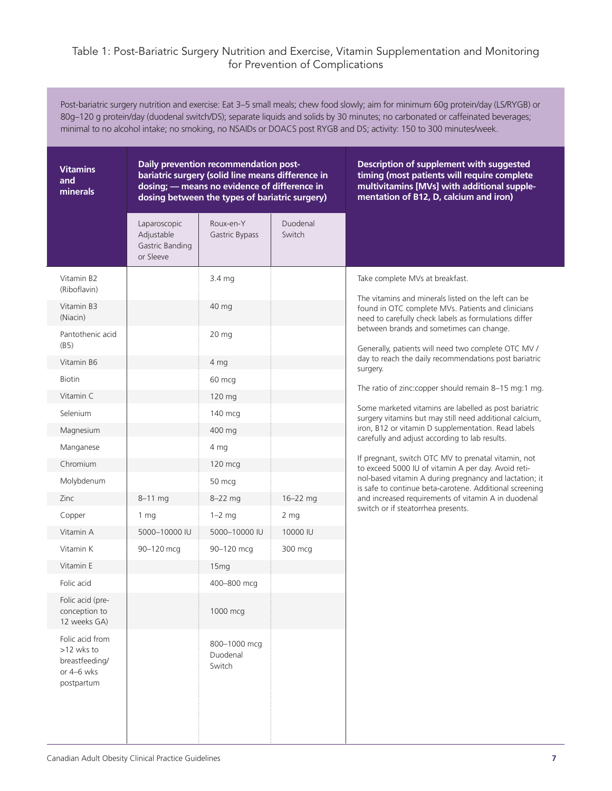## Table 1: Post-Bariatric Surgery Nutrition and Exercise, Vitamin Supplementation and Monitoring for Prevention of Complications

Post-bariatric surgery nutrition and exercise: Eat 3–5 small meals; chew food slowly; aim for minimum 60g protein/day (LS/RYGB) or 80g–120 g protein/day (duodenal switch/DS); separate liquids and solids by 30 minutes; no carbonated or caffeinated beverages; minimal to no alcohol intake; no smoking, no NSAIDs or DOACS post RYGB and DS; activity: 150 to 300 minutes/week.

| <b>Vitamins</b><br>and<br>minerals                                          | Daily prevention recommendation post-<br>bariatric surgery (solid line means difference in<br>dosing; - means no evidence of difference in<br>dosing between the types of bariatric surgery) |                                    |                    | Description of supplement with suggested<br>timing (most patients will require complete<br>multivitamins [MVs] with additional supple-<br>mentation of B12, D, calcium and iron) |
|-----------------------------------------------------------------------------|----------------------------------------------------------------------------------------------------------------------------------------------------------------------------------------------|------------------------------------|--------------------|----------------------------------------------------------------------------------------------------------------------------------------------------------------------------------|
|                                                                             | Laparoscopic<br>Adjustable<br>Gastric Banding<br>or Sleeve                                                                                                                                   | Roux-en-Y<br>Gastric Bypass        | Duodenal<br>Switch |                                                                                                                                                                                  |
| Vitamin B2<br>(Riboflavin)                                                  |                                                                                                                                                                                              | 3.4 mg                             |                    | Take complete MVs at breakfast.                                                                                                                                                  |
| Vitamin B3<br>(Niacin)                                                      |                                                                                                                                                                                              | 40 mg                              |                    | The vitamins and minerals listed on the left can be<br>found in OTC complete MVs. Patients and clinicians<br>need to carefully check labels as formulations differ               |
| Pantothenic acid<br>(B5)                                                    |                                                                                                                                                                                              | 20 mg                              |                    | between brands and sometimes can change.<br>Generally, patients will need two complete OTC MV /                                                                                  |
| Vitamin B6                                                                  |                                                                                                                                                                                              | 4 mg                               |                    | day to reach the daily recommendations post bariatric<br>surgery.                                                                                                                |
| <b>Biotin</b>                                                               |                                                                                                                                                                                              | 60 mcg                             |                    |                                                                                                                                                                                  |
| Vitamin C                                                                   |                                                                                                                                                                                              | 120 mg                             |                    | The ratio of zinc:copper should remain 8-15 mg:1 mg.                                                                                                                             |
| Selenium                                                                    |                                                                                                                                                                                              | 140 mcg                            |                    | Some marketed vitamins are labelled as post bariatric<br>surgery vitamins but may still need additional calcium,                                                                 |
| Magnesium                                                                   |                                                                                                                                                                                              | 400 mg                             |                    | iron, B12 or vitamin D supplementation. Read labels<br>carefully and adjust according to lab results.                                                                            |
| Manganese                                                                   |                                                                                                                                                                                              | 4 mg                               |                    |                                                                                                                                                                                  |
| Chromium                                                                    |                                                                                                                                                                                              | 120 mcg                            |                    | If pregnant, switch OTC MV to prenatal vitamin, not<br>to exceed 5000 IU of vitamin A per day. Avoid reti-                                                                       |
| Molybdenum                                                                  |                                                                                                                                                                                              | 50 mcg                             |                    | nol-based vitamin A during pregnancy and lactation; it<br>is safe to continue beta-carotene. Additional screening                                                                |
| Zinc                                                                        | $8 - 11$ mg                                                                                                                                                                                  | $8-22$ mg                          | $16 - 22$ mg       | and increased requirements of vitamin A in duodenal                                                                                                                              |
| Copper                                                                      | 1 <sub>mg</sub>                                                                                                                                                                              | $1-2$ mg                           | 2 <sub>mg</sub>    | switch or if steatorrhea presents.                                                                                                                                               |
| Vitamin A                                                                   | 5000-10000 IU                                                                                                                                                                                | 5000-10000 IU                      | 10000 IU           |                                                                                                                                                                                  |
| Vitamin K                                                                   | 90-120 mcg                                                                                                                                                                                   | 90-120 mcg                         | 300 mcg            |                                                                                                                                                                                  |
| Vitamin E                                                                   |                                                                                                                                                                                              | 15mg                               |                    |                                                                                                                                                                                  |
| Folic acid                                                                  |                                                                                                                                                                                              | 400-800 mcg                        |                    |                                                                                                                                                                                  |
| Folic acid (pre-<br>conception to<br>12 weeks GA)                           |                                                                                                                                                                                              | 1000 mcg                           |                    |                                                                                                                                                                                  |
| Folic acid from<br>>12 wks to<br>breastfeeding/<br>or 4-6 wks<br>postpartum |                                                                                                                                                                                              | 800-1000 mcg<br>Duodenal<br>Switch |                    |                                                                                                                                                                                  |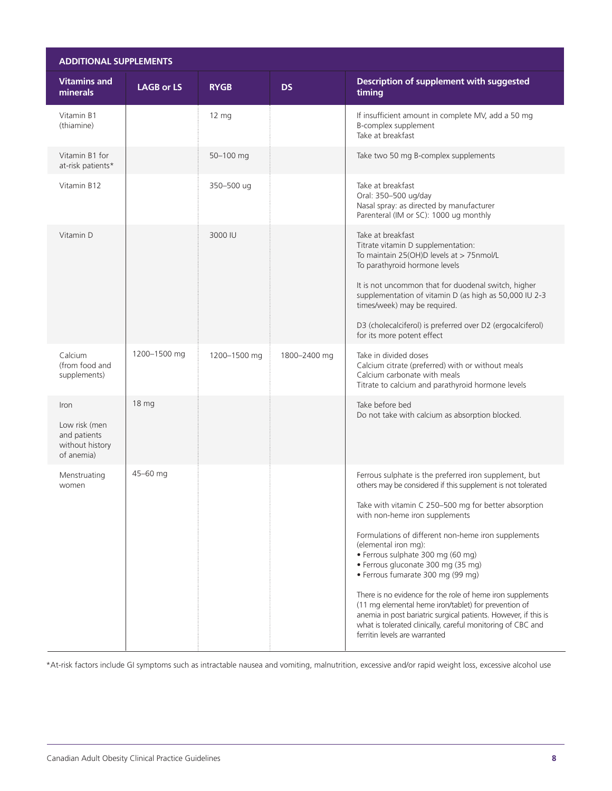| <b>ADDITIONAL SUPPLEMENTS</b>                                          |                   |                 |              |                                                                                                                                                                                                                                                                                       |
|------------------------------------------------------------------------|-------------------|-----------------|--------------|---------------------------------------------------------------------------------------------------------------------------------------------------------------------------------------------------------------------------------------------------------------------------------------|
| <b>Vitamins and</b><br>minerals                                        | <b>LAGB or LS</b> | <b>RYGB</b>     | <b>DS</b>    | Description of supplement with suggested<br>timing                                                                                                                                                                                                                                    |
| Vitamin B1<br>(thiamine)                                               |                   | $12 \text{ mg}$ |              | If insufficient amount in complete MV, add a 50 mg<br>B-complex supplement<br>Take at breakfast                                                                                                                                                                                       |
| Vitamin B1 for<br>at-risk patients*                                    |                   | 50-100 mg       |              | Take two 50 mg B-complex supplements                                                                                                                                                                                                                                                  |
| Vitamin B12                                                            |                   | 350-500 ug      |              | Take at breakfast<br>Oral: 350-500 ug/day<br>Nasal spray: as directed by manufacturer<br>Parenteral (IM or SC): 1000 ug monthly                                                                                                                                                       |
| Vitamin D                                                              |                   | 3000 IU         |              | Take at breakfast<br>Titrate vitamin D supplementation:<br>To maintain 25(OH)D levels at > 75nmol/L<br>To parathyroid hormone levels                                                                                                                                                  |
|                                                                        |                   |                 |              | It is not uncommon that for duodenal switch, higher<br>supplementation of vitamin D (as high as 50,000 IU 2-3<br>times/week) may be required.                                                                                                                                         |
|                                                                        |                   |                 |              | D3 (cholecalciferol) is preferred over D2 (ergocalciferol)<br>for its more potent effect                                                                                                                                                                                              |
| Calcium<br>(from food and<br>supplements)                              | 1200-1500 mg      | 1200-1500 mg    | 1800-2400 mg | Take in divided doses<br>Calcium citrate (preferred) with or without meals<br>Calcium carbonate with meals<br>Titrate to calcium and parathyroid hormone levels                                                                                                                       |
| Iron<br>Low risk (men<br>and patients<br>without history<br>of anemia) | 18 mg             |                 |              | Take before bed<br>Do not take with calcium as absorption blocked.                                                                                                                                                                                                                    |
| Menstruating<br>women                                                  | 45-60 mg          |                 |              | Ferrous sulphate is the preferred iron supplement, but<br>others may be considered if this supplement is not tolerated<br>Take with vitamin C 250-500 mg for better absorption<br>with non-heme iron supplements                                                                      |
|                                                                        |                   |                 |              | Formulations of different non-heme iron supplements<br>(elemental iron mg):<br>· Ferrous sulphate 300 mg (60 mg)<br>· Ferrous gluconate 300 mg (35 mg)<br>· Ferrous fumarate 300 mg (99 mg)                                                                                           |
|                                                                        |                   |                 |              | There is no evidence for the role of heme iron supplements<br>(11 mg elemental heme iron/tablet) for prevention of<br>anemia in post bariatric surgical patients. However, if this is<br>what is tolerated clinically, careful monitoring of CBC and<br>ferritin levels are warranted |

\*At-risk factors include GI symptoms such as intractable nausea and vomiting, malnutrition, excessive and/or rapid weight loss, excessive alcohol use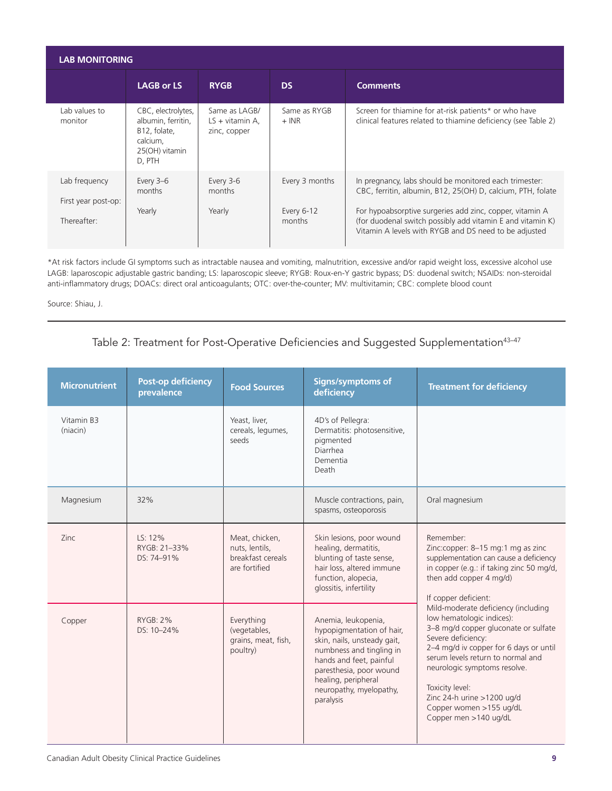| <b>LAB MONITORING</b>                |                                                                                                  |                                                              |                         |                                                                                                                                                                                 |
|--------------------------------------|--------------------------------------------------------------------------------------------------|--------------------------------------------------------------|-------------------------|---------------------------------------------------------------------------------------------------------------------------------------------------------------------------------|
|                                      | <b>LAGB or LS</b>                                                                                | <b>RYGB</b>                                                  | <b>DS</b>               | <b>Comments</b>                                                                                                                                                                 |
| Lab values to<br>monitor             | CBC, electrolytes,<br>albumin, ferritin,<br>B12, folate,<br>calcium,<br>25(OH) vitamin<br>D, PTH | Same as LAGB/<br>$LS + vitamin$ + vitamin A,<br>zinc, copper | Same as RYGB<br>$+$ INR | Screen for thiamine for at-risk patients* or who have<br>clinical features related to thiamine deficiency (see Table 2)                                                         |
| Lab frequency<br>First year post-op: | Every 3-6<br>months                                                                              | Every 3-6<br>months                                          | Every 3 months          | In pregnancy, labs should be monitored each trimester:<br>CBC, ferritin, albumin, B12, 25(OH) D, calcium, PTH, folate                                                           |
| Thereafter:                          | Yearly                                                                                           | Yearly                                                       | Every 6-12<br>months    | For hypoabsorptive surgeries add zinc, copper, vitamin A<br>(for duodenal switch possibly add vitamin E and vitamin K)<br>Vitamin A levels with RYGB and DS need to be adjusted |

\*At risk factors include GI symptoms such as intractable nausea and vomiting, malnutrition, excessive and/or rapid weight loss, excessive alcohol use LAGB: laparoscopic adjustable gastric banding; LS: laparoscopic sleeve; RYGB: Roux-en-Y gastric bypass; DS: duodenal switch; NSAIDs: non-steroidal anti-inflammatory drugs; DOACs: direct oral anticoagulants; OTC: over-the-counter; MV: multivitamin; CBC: complete blood count

Source: Shiau, J.

## Table 2: Treatment for Post-Operative Deficiencies and Suggested Supplementation<sup>43-47</sup>

| <b>Micronutrient</b>   | <b>Post-op deficiency</b><br>prevalence | <b>Food Sources</b>                                                    | <b>Signs/symptoms of</b><br>deficiency                                                                                                                                                                                           | <b>Treatment for deficiency</b>                                                                                                                                                                                                                                                                                                                    |
|------------------------|-----------------------------------------|------------------------------------------------------------------------|----------------------------------------------------------------------------------------------------------------------------------------------------------------------------------------------------------------------------------|----------------------------------------------------------------------------------------------------------------------------------------------------------------------------------------------------------------------------------------------------------------------------------------------------------------------------------------------------|
| Vitamin B3<br>(niacin) |                                         | Yeast, liver,<br>cereals, legumes,<br>seeds                            | 4D's of Pellegra:<br>Dermatitis: photosensitive,<br>pigmented<br>Diarrhea<br>Dementia<br>Death                                                                                                                                   |                                                                                                                                                                                                                                                                                                                                                    |
| Magnesium              | 32%                                     |                                                                        | Muscle contractions, pain,<br>spasms, osteoporosis                                                                                                                                                                               | Oral magnesium                                                                                                                                                                                                                                                                                                                                     |
| Zinc                   | LS: 12%<br>RYGB: 21-33%<br>DS: 74-91%   | Meat, chicken,<br>nuts, lentils,<br>breakfast cereals<br>are fortified | Skin lesions, poor wound<br>healing, dermatitis,<br>blunting of taste sense,<br>hair loss, altered immune<br>function, alopecia,<br>glossitis, infertility                                                                       | Remember:<br>Zinc:copper: 8-15 mg:1 mg as zinc<br>supplementation can cause a deficiency<br>in copper (e.g.: if taking zinc 50 mg/d,<br>then add copper 4 mg/d)<br>If copper deficient:                                                                                                                                                            |
| Copper                 | <b>RYGB: 2%</b><br>DS: 10-24%           | Everything<br>(vegetables,<br>grains, meat, fish,<br>poultry)          | Anemia, leukopenia,<br>hypopigmentation of hair,<br>skin, nails, unsteady gait,<br>numbness and tingling in<br>hands and feet, painful<br>paresthesia, poor wound<br>healing, peripheral<br>neuropathy, myelopathy,<br>paralysis | Mild-moderate deficiency (including<br>low hematologic indices):<br>3-8 mg/d copper gluconate or sulfate<br>Severe deficiency:<br>2-4 mg/d iv copper for 6 days or until<br>serum levels return to normal and<br>neurologic symptoms resolve.<br>Toxicity level:<br>Zinc 24-h urine >1200 ug/d<br>Copper women >155 ug/dL<br>Copper men >140 ug/dL |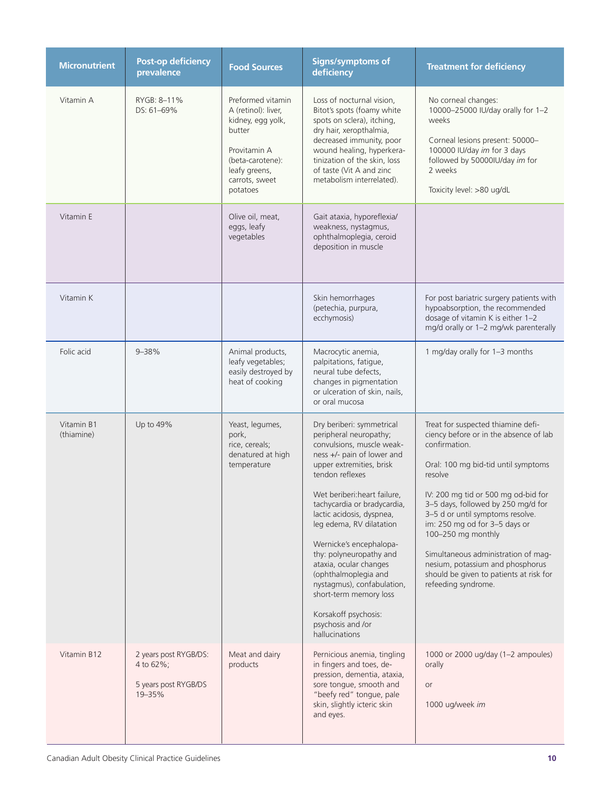| <b>Micronutrient</b>     | <b>Post-op deficiency</b><br>prevalence                              | <b>Food Sources</b>                                                                                                                                        | <b>Signs/symptoms of</b><br>deficiency                                                                                                                                                                                                                                                                                                                                                                                                                                                                               | <b>Treatment for deficiency</b>                                                                                                                                                                                                                                                                                                                                                                                                                                      |
|--------------------------|----------------------------------------------------------------------|------------------------------------------------------------------------------------------------------------------------------------------------------------|----------------------------------------------------------------------------------------------------------------------------------------------------------------------------------------------------------------------------------------------------------------------------------------------------------------------------------------------------------------------------------------------------------------------------------------------------------------------------------------------------------------------|----------------------------------------------------------------------------------------------------------------------------------------------------------------------------------------------------------------------------------------------------------------------------------------------------------------------------------------------------------------------------------------------------------------------------------------------------------------------|
| Vitamin A                | RYGB: 8-11%<br>DS: 61-69%                                            | Preformed vitamin<br>A (retinol): liver,<br>kidney, egg yolk,<br>butter<br>Provitamin A<br>(beta-carotene):<br>leafy greens,<br>carrots, sweet<br>potatoes | Loss of nocturnal vision,<br>Bitot's spots (foamy white<br>spots on sclera), itching,<br>dry hair, xeropthalmia,<br>decreased immunity, poor<br>wound healing, hyperkera-<br>tinization of the skin, loss<br>of taste (Vit A and zinc<br>metabolism interrelated).                                                                                                                                                                                                                                                   | No corneal changes:<br>10000-25000 IU/day orally for 1-2<br>weeks<br>Corneal lesions present: 50000-<br>100000 IU/day im for 3 days<br>followed by 50000IU/day im for<br>2 weeks<br>Toxicity level: >80 ug/dL                                                                                                                                                                                                                                                        |
| Vitamin E                |                                                                      | Olive oil, meat,<br>eggs, leafy<br>vegetables                                                                                                              | Gait ataxia, hyporeflexia/<br>weakness, nystagmus,<br>ophthalmoplegia, ceroid<br>deposition in muscle                                                                                                                                                                                                                                                                                                                                                                                                                |                                                                                                                                                                                                                                                                                                                                                                                                                                                                      |
| Vitamin K                |                                                                      |                                                                                                                                                            | Skin hemorrhages<br>(petechia, purpura,<br>ecchymosis)                                                                                                                                                                                                                                                                                                                                                                                                                                                               | For post bariatric surgery patients with<br>hypoabsorption, the recommended<br>dosage of vitamin K is either 1-2<br>mg/d orally or 1-2 mg/wk parenterally                                                                                                                                                                                                                                                                                                            |
| Folic acid               | $9 - 38%$                                                            | Animal products,<br>leafy vegetables;<br>easily destroyed by<br>heat of cooking                                                                            | Macrocytic anemia,<br>palpitations, fatigue,<br>neural tube defects,<br>changes in pigmentation<br>or ulceration of skin, nails,<br>or oral mucosa                                                                                                                                                                                                                                                                                                                                                                   | 1 mg/day orally for 1-3 months                                                                                                                                                                                                                                                                                                                                                                                                                                       |
| Vitamin B1<br>(thiamine) | Up to 49%                                                            | Yeast, legumes,<br>pork,<br>rice, cereals;<br>denatured at high<br>temperature                                                                             | Dry beriberi: symmetrical<br>peripheral neuropathy;<br>convulsions, muscle weak-<br>ness +/- pain of lower and<br>upper extremities, brisk<br>tendon reflexes<br>Wet beriberi: heart failure,<br>tachycardia or bradycardia,<br>lactic acidosis, dyspnea,<br>leg edema, RV dilatation<br>Wernicke's encephalopa-<br>thy: polyneuropathy and<br>ataxia, ocular changes<br>(ophthalmoplegia and<br>nystagmus), confabulation,<br>short-term memory loss<br>Korsakoff psychosis:<br>psychosis and /or<br>hallucinations | Treat for suspected thiamine defi-<br>ciency before or in the absence of lab<br>confirmation.<br>Oral: 100 mg bid-tid until symptoms<br>resolve<br>IV: 200 mg tid or 500 mg od-bid for<br>3-5 days, followed by 250 mg/d for<br>3-5 d or until symptoms resolve.<br>im: 250 mg od for 3-5 days or<br>100-250 mg monthly<br>Simultaneous administration of mag-<br>nesium, potassium and phosphorus<br>should be given to patients at risk for<br>refeeding syndrome. |
| Vitamin B12              | 2 years post RYGB/DS:<br>4 to 62%;<br>5 years post RYGB/DS<br>19-35% | Meat and dairy<br>products                                                                                                                                 | Pernicious anemia, tingling<br>in fingers and toes, de-<br>pression, dementia, ataxia,<br>sore tongue, smooth and<br>"beefy red" tongue, pale<br>skin, slightly icteric skin<br>and eyes.                                                                                                                                                                                                                                                                                                                            | 1000 or 2000 ug/day (1-2 ampoules)<br>orally<br>or<br>1000 ug/week im                                                                                                                                                                                                                                                                                                                                                                                                |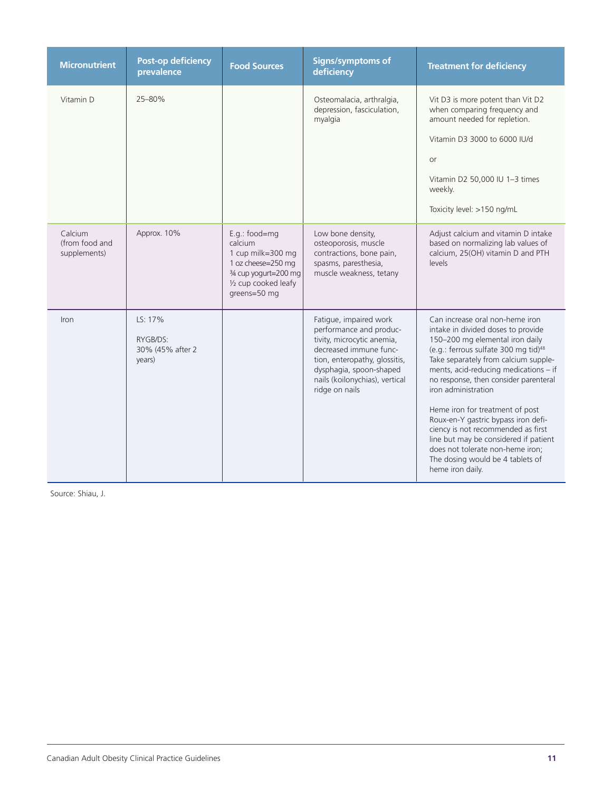| <b>Micronutrient</b>                      | <b>Post-op deficiency</b><br>prevalence           | <b>Food Sources</b>                                                                                                                  | <b>Signs/symptoms of</b><br>deficiency                                                                                                                                                                                    | <b>Treatment for deficiency</b>                                                                                                                                                                                                                                                                                                                                                                                                                                                                                                                                    |
|-------------------------------------------|---------------------------------------------------|--------------------------------------------------------------------------------------------------------------------------------------|---------------------------------------------------------------------------------------------------------------------------------------------------------------------------------------------------------------------------|--------------------------------------------------------------------------------------------------------------------------------------------------------------------------------------------------------------------------------------------------------------------------------------------------------------------------------------------------------------------------------------------------------------------------------------------------------------------------------------------------------------------------------------------------------------------|
| Vitamin D                                 | 25-80%                                            |                                                                                                                                      | Osteomalacia, arthralgia,<br>depression, fasciculation,<br>myalgia                                                                                                                                                        | Vit D3 is more potent than Vit D2<br>when comparing frequency and<br>amount needed for repletion.<br>Vitamin D3 3000 to 6000 IU/d<br><b>or</b><br>Vitamin D2 50,000 IU 1-3 times<br>weekly.<br>Toxicity level: >150 ng/mL                                                                                                                                                                                                                                                                                                                                          |
| Calcium<br>(from food and<br>supplements) | Approx. 10%                                       | E.g.: food=mg<br>calcium<br>1 cup milk=300 mg<br>1 oz cheese=250 mg<br>3/4 cup yogurt=200 mg<br>1/2 cup cooked leafy<br>greens=50 mg | Low bone density,<br>osteoporosis, muscle<br>contractions, bone pain,<br>spasms, paresthesia,<br>muscle weakness, tetany                                                                                                  | Adjust calcium and vitamin D intake<br>based on normalizing lab values of<br>calcium, 25(OH) vitamin D and PTH<br>levels                                                                                                                                                                                                                                                                                                                                                                                                                                           |
| Iron                                      | LS: 17%<br>RYGB/DS:<br>30% (45% after 2<br>years) |                                                                                                                                      | Fatigue, impaired work<br>performance and produc-<br>tivity, microcytic anemia,<br>decreased immune func-<br>tion, enteropathy, glossitis,<br>dysphagia, spoon-shaped<br>nails (koilonychias), vertical<br>ridge on nails | Can increase oral non-heme iron<br>intake in divided doses to provide<br>150-200 mg elemental iron daily<br>(e.g.: ferrous sulfate 300 mg tid) <sup>48</sup><br>Take separately from calcium supple-<br>ments, acid-reducing medications - if<br>no response, then consider parenteral<br>iron administration<br>Heme iron for treatment of post<br>Roux-en-Y gastric bypass iron defi-<br>ciency is not recommended as first<br>line but may be considered if patient<br>does not tolerate non-heme iron;<br>The dosing would be 4 tablets of<br>heme iron daily. |

Source: Shiau, J.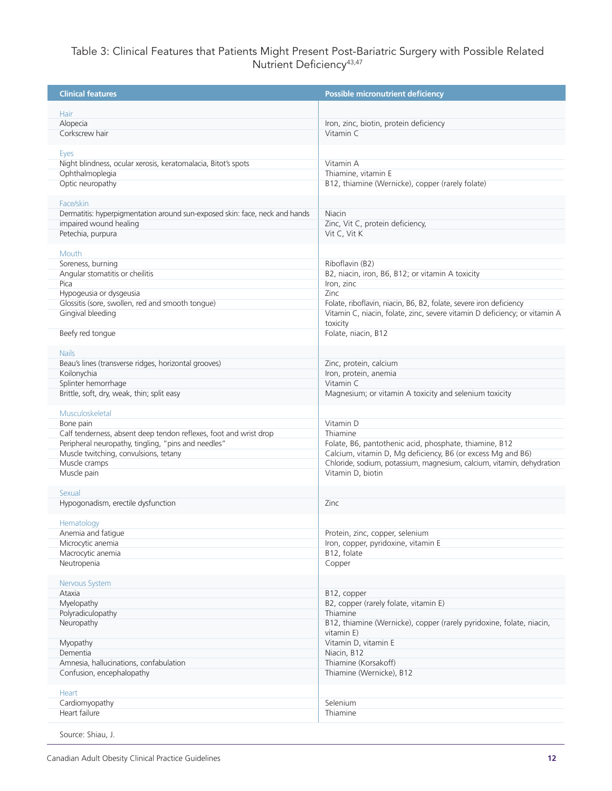## Table 3: Clinical Features that Patients Might Present Post-Bariatric Surgery with Possible Related Nutrient Deficiency<sup>43,47</sup>

| <b>Clinical features</b>                                                    | Possible micronutrient deficiency                                          |
|-----------------------------------------------------------------------------|----------------------------------------------------------------------------|
| Hair                                                                        |                                                                            |
| Alopecia                                                                    | Iron, zinc, biotin, protein deficiency                                     |
| Corkscrew hair                                                              | Vitamin C                                                                  |
|                                                                             |                                                                            |
| <b>Eves</b>                                                                 |                                                                            |
| Night blindness, ocular xerosis, keratomalacia, Bitot's spots               | Vitamin A                                                                  |
| Ophthalmoplegia                                                             | Thiamine, vitamin E                                                        |
| Optic neuropathy                                                            | B12, thiamine (Wernicke), copper (rarely folate)                           |
| Face/skin                                                                   |                                                                            |
| Dermatitis: hyperpigmentation around sun-exposed skin: face, neck and hands | Niacin                                                                     |
| impaired wound healing                                                      | Zinc, Vit C, protein deficiency,                                           |
| Petechia, purpura                                                           | Vit C, Vit K                                                               |
|                                                                             |                                                                            |
| Mouth                                                                       |                                                                            |
| Soreness, burning                                                           | Riboflavin (B2)                                                            |
| Angular stomatitis or cheilitis                                             | B2, niacin, iron, B6, B12; or vitamin A toxicity                           |
| Pica                                                                        | Iron, zinc                                                                 |
| Hypogeusia or dysgeusia                                                     | Zinc                                                                       |
| Glossitis (sore, swollen, red and smooth tonque)                            | Folate, riboflavin, niacin, B6, B2, folate, severe iron deficiency         |
| Gingival bleeding                                                           | Vitamin C, niacin, folate, zinc, severe vitamin D deficiency; or vitamin A |
|                                                                             | toxicity                                                                   |
| Beefy red tongue                                                            | Folate, niacin, B12                                                        |
| <b>Nails</b>                                                                |                                                                            |
| Beau's lines (transverse ridges, horizontal grooves)                        | Zinc, protein, calcium                                                     |
| Koilonychia                                                                 | Iron, protein, anemia                                                      |
| Splinter hemorrhage                                                         | Vitamin C                                                                  |
| Brittle, soft, dry, weak, thin; split easy                                  | Magnesium; or vitamin A toxicity and selenium toxicity                     |
|                                                                             |                                                                            |
| Musculoskeletal                                                             |                                                                            |
| Bone pain                                                                   | Vitamin D                                                                  |
| Calf tenderness, absent deep tendon reflexes, foot and wrist drop           | Thiamine                                                                   |
| Peripheral neuropathy, tingling, "pins and needles"                         | Folate, B6, pantothenic acid, phosphate, thiamine, B12                     |
| Muscle twitching, convulsions, tetany                                       | Calcium, vitamin D, Mg deficiency, B6 (or excess Mg and B6)                |
| Muscle cramps                                                               | Chloride, sodium, potassium, magnesium, calcium, vitamin, dehydration      |
| Muscle pain                                                                 | Vitamin D, biotin                                                          |
| Sexual                                                                      |                                                                            |
| Hypogonadism, erectile dysfunction                                          | Zinc                                                                       |
|                                                                             |                                                                            |
| Hematology                                                                  |                                                                            |
| Anemia and fatigue                                                          | Protein, zinc, copper, selenium                                            |
| Microcytic anemia                                                           | Iron, copper, pyridoxine, vitamin E                                        |
| Macrocytic anemia                                                           | B12, folate                                                                |
| Neutropenia                                                                 | Copper                                                                     |
| Nervous System                                                              |                                                                            |
| Ataxia                                                                      | B12, copper                                                                |
| Myelopathy                                                                  | B2, copper (rarely folate, vitamin E)                                      |
| Polyradiculopathy                                                           | Thiamine                                                                   |
| Neuropathy                                                                  | B12, thiamine (Wernicke), copper (rarely pyridoxine, folate, niacin,       |
|                                                                             | vitamin E)                                                                 |
| Myopathy                                                                    | Vitamin D, vitamin E                                                       |
| Dementia                                                                    | Niacin, B12                                                                |
| Amnesia, hallucinations, confabulation                                      | Thiamine (Korsakoff)                                                       |
| Confusion, encephalopathy                                                   | Thiamine (Wernicke), B12                                                   |
|                                                                             |                                                                            |
| Heart                                                                       |                                                                            |
| Cardiomyopathy                                                              | Selenium                                                                   |
| Heart failure                                                               | Thiamine                                                                   |
|                                                                             |                                                                            |

Source: Shiau, J.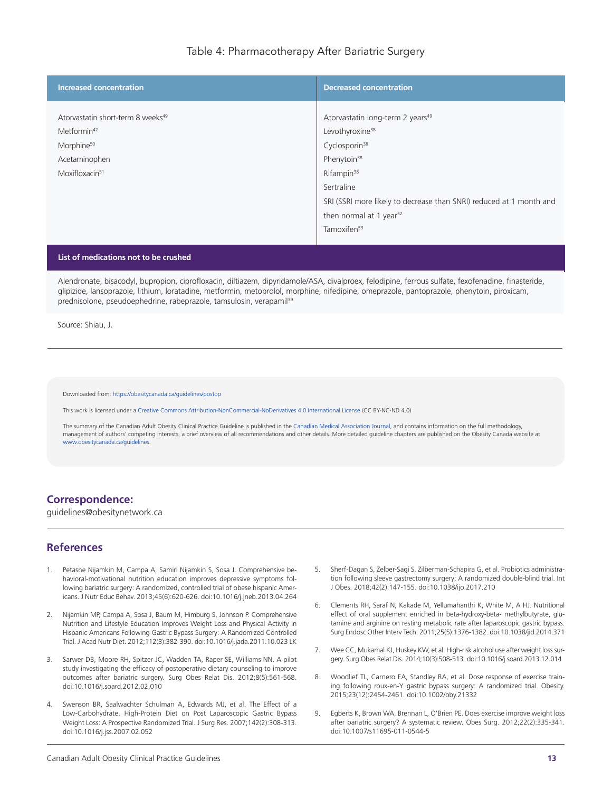## Table 4: Pharmacotherapy After Bariatric Surgery

| <b>Increased concentration</b>                                                                                                                    | <b>Decreased concentration</b>                                                                                                                                                                                                                                                                                       |
|---------------------------------------------------------------------------------------------------------------------------------------------------|----------------------------------------------------------------------------------------------------------------------------------------------------------------------------------------------------------------------------------------------------------------------------------------------------------------------|
| Atorvastatin short-term 8 weeks <sup>49</sup><br>Metformin <sup>42</sup><br>Morphine <sup>50</sup><br>Acetaminophen<br>Moxifloxacin <sup>51</sup> | Atorvastatin long-term 2 years <sup>49</sup><br>Levothyroxine <sup>38</sup><br>Cyclosporin <sup>38</sup><br>Phenytoin <sup>38</sup><br>Rifampin <sup>38</sup><br>Sertraline<br>SRI (SSRI more likely to decrease than SNRI) reduced at 1 month and<br>then normal at 1 year <sup>52</sup><br>Tamoxifen <sup>53</sup> |

#### **List of medications not to be crushed**

Alendronate, bisacodyl, bupropion, ciprofloxacin, diltiazem, dipyridamole/ASA, divalproex, felodipine, ferrous sulfate, fexofenadine, finasteride, glipizide, lansoprazole, lithium, loratadine, metformin, metoprolol, morphine, nifedipine, omeprazole, pantoprazole, phenytoin, piroxicam, prednisolone, pseudoephedrine, rabeprazole, tamsulosin, verapamil<sup>39</sup>

Source: Shiau, J.

Downloaded from: <https://obesitycanada.ca/guidelines/postop>

This work is licensed under a Creative Commons [Attribution-NonCommercial-NoDerivatives](https://creativecommons.org/licenses/by-nc-nd/4.0/) 4.0 International License (CC BY-NC-ND 4.0)

The summary of the Canadian Adult Obesity Clinical Practice Guideline is published in the Canadian Medical [Association](https://www.cmaj.ca/lookup/doi/10.1503/cmaj.191707) Journal, and contains information on the full methodology, management of authors' competing interests, a brief overview of all recommendations and other details. More detailed guideline chapters are published on the Obesity Canada website at [www.obesitycanada.ca/guidelines.](https://obesitycanada.ca/guidelines/)

#### **Correspondence:**

guidelines@obesitynetwork.ca

### **References**

- 1. Petasne Nijamkin M, Campa A, Samiri Nijamkin S, Sosa J. Comprehensive behavioral-motivational nutrition education improves depressive symptoms following bariatric surgery: A randomized, controlled trial of obese hispanic Americans. J Nutr Educ Behav. 2013;45(6):620-626. doi:10.1016/j.jneb.2013.04.264
- 2. Nijamkin MP, Campa A, Sosa J, Baum M, Himburg S, Johnson P. Comprehensive Nutrition and Lifestyle Education Improves Weight Loss and Physical Activity in Hispanic Americans Following Gastric Bypass Surgery: A Randomized Controlled Trial. J Acad Nutr Diet. 2012;112(3):382-390. doi:10.1016/j.jada.2011.10.023 LK
- 3. Sarwer DB, Moore RH, Spitzer JC, Wadden TA, Raper SE, Williams NN. A pilot study investigating the efficacy of postoperative dietary counseling to improve outcomes after bariatric surgery. Surg Obes Relat Dis. 2012;8(5):561-568. doi:10.1016/j.soard.2012.02.010
- 4. Swenson BR, Saalwachter Schulman A, Edwards MJ, et al. The Effect of a Low-Carbohydrate, High-Protein Diet on Post Laparoscopic Gastric Bypass Weight Loss: A Prospective Randomized Trial. J Surg Res. 2007;142(2):308-313. doi:10.1016/j.jss.2007.02.052
- Sherf-Dagan S, Zelber-Sagi S, Zilberman-Schapira G, et al. Probiotics administration following sleeve gastrectomy surgery: A randomized double-blind trial. Int J Obes. 2018;42(2):147-155. doi:10.1038/ijo.2017.210
- 6. Clements RH, Saraf N, Kakade M, Yellumahanthi K, White M, A HJ. Nutritional effect of oral supplement enriched in beta-hydroxy-beta- methylbutyrate, glutamine and arginine on resting metabolic rate after laparoscopic gastric bypass. Surg Endosc Other Interv Tech. 2011;25(5):1376-1382. doi:10.1038/jid.2014.371
- 7. Wee CC, Mukamal KJ, Huskey KW, et al. High-risk alcohol use after weight loss surgery. Surg Obes Relat Dis. 2014;10(3):508-513. doi:10.1016/j.soard.2013.12.014
- 8. Woodlief TL, Carnero EA, Standley RA, et al. Dose response of exercise training following roux-en-Y gastric bypass surgery: A randomized trial. Obesity. 2015;23(12):2454-2461. doi:10.1002/oby.21332
- 9. Egberts K, Brown WA, Brennan L, O'Brien PE. Does exercise improve weight loss after bariatric surgery? A systematic review. Obes Surg. 2012;22(2):335-341. doi:10.1007/s11695-011-0544-5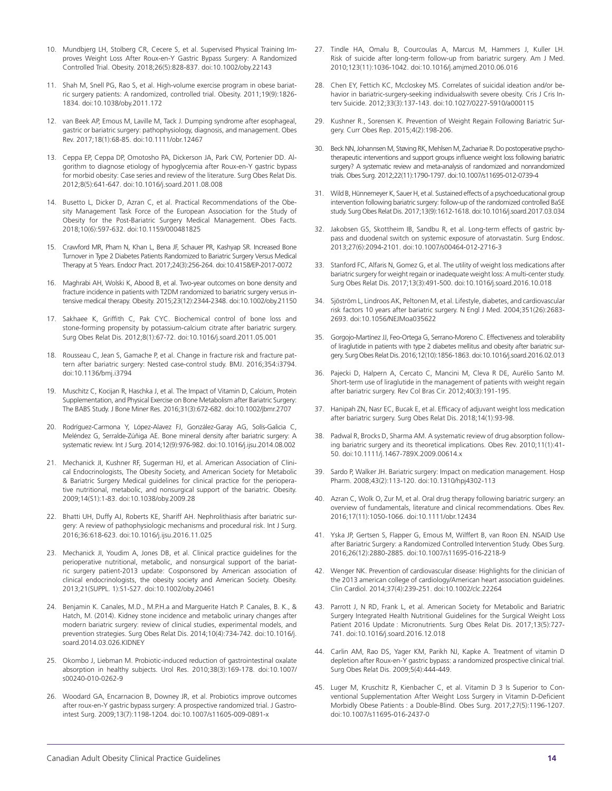- 10. Mundbjerg LH, Stolberg CR, Cecere S, et al. Supervised Physical Training Improves Weight Loss After Roux-en-Y Gastric Bypass Surgery: A Randomized Controlled Trial. Obesity. 2018;26(5):828-837. doi:10.1002/oby.22143
- 11. Shah M, Snell PG, Rao S, et al. High-volume exercise program in obese bariatric surgery patients: A randomized, controlled trial. Obesity. 2011;19(9):1826- 1834. doi:10.1038/oby.2011.172
- 12. van Beek AP, Emous M, Laville M, Tack J. Dumping syndrome after esophageal, gastric or bariatric surgery: pathophysiology, diagnosis, and management. Obes Rev. 2017;18(1):68-85. doi:10.1111/obr.12467
- 13. Ceppa EP, Ceppa DP, Omotosho PA, Dickerson JA, Park CW, Portenier DD. Algorithm to diagnose etiology of hypoglycemia after Roux-en-Y gastric bypass for morbid obesity: Case series and review of the literature. Surg Obes Relat Dis. 2012;8(5):641-647. doi:10.1016/j.soard.2011.08.008
- 14. Busetto L, Dicker D, Azran C, et al. Practical Recommendations of the Obesity Management Task Force of the European Association for the Study of Obesity for the Post-Bariatric Surgery Medical Management. Obes Facts. 2018;10(6):597-632. doi:10.1159/000481825
- 15. Crawford MR, Pham N, Khan L, Bena JF, Schauer PR, Kashyap SR. Increased Bone Turnover in Type 2 Diabetes Patients Randomized to Bariatric Surgery Versus Medical Therapy at 5 Years. Endocr Pract. 2017;24(3):256-264. doi:10.4158/EP-2017-0072
- 16. Maghrabi AH, Wolski K, Abood B, et al. Two-year outcomes on bone density and fracture incidence in patients with T2DM randomized to bariatric surgery versus intensive medical therapy. Obesity. 2015;23(12):2344-2348. doi:10.1002/oby.21150
- 17. Sakhaee K, Griffith C, Pak CYC. Biochemical control of bone loss and stone-forming propensity by potassium-calcium citrate after bariatric surgery. Surg Obes Relat Dis. 2012;8(1):67-72. doi:10.1016/j.soard.2011.05.001
- 18. Rousseau C, Jean S, Gamache P, et al. Change in fracture risk and fracture pattern after bariatric surgery: Nested case-control study. BMJ. 2016;354:i3794. doi:10.1136/bmj.i3794
- 19. Muschitz C, Kocijan R, Haschka J, et al. The Impact of Vitamin D, Calcium, Protein Supplementation, and Physical Exercise on Bone Metabolism after Bariatric Surgery: The BABS Study. J Bone Miner Res. 2016;31(3):672-682. doi:10.1002/jbmr.2707
- 20. Rodríguez-Carmona Y, López-Alavez FJ, González-Garay AG, Solís-Galicia C, Meléndez G, Serralde-Zúñiga AE. Bone mineral density after bariatric surgery: A systematic review. Int J Surg. 2014;12(9):976-982. doi:10.1016/j.ijsu.2014.08.002
- 21. Mechanick Jl, Kushner RF, Sugerman HJ, et al. American Association of Clinical Endocrinologists, The Obesity Society, and American Society for Metabolic & Bariatric Surgery Medical guidelines for clinical practice for the perioperative nutritional, metabolic, and nonsurgical support of the bariatric. Obesity. 2009;14(S1):1-83. doi:10.1038/oby.2009.28
- 22. Bhatti UH, Duffy AJ, Roberts KE, Shariff AH. Nephrolithiasis after bariatric surgery: A review of pathophysiologic mechanisms and procedural risk. Int J Surg. 2016;36:618-623. doi:10.1016/j.ijsu.2016.11.025
- 23. Mechanick JI, Youdim A, Jones DB, et al. Clinical practice guidelines for the perioperative nutritional, metabolic, and nonsurgical support of the bariatric surgery patient-2013 update: Cosponsored by American association of clinical endocrinologists, the obesity society and American Society. Obesity. 2013;21(SUPPL. 1):S1-S27. doi:10.1002/oby.20461
- 24. Benjamin K. Canales, M.D., M.P.H.a and Marquerite Hatch P. Canales, B. K., & Hatch, M. (2014). Kidney stone incidence and metabolic urinary changes after modern bariatric surgery: review of clinical studies, experimental models, and prevention strategies. Surg Obes Relat Dis. 2014;10(4):734-742. doi:10.1016/j. soard.2014.03.026.KIDNEY
- 25. Okombo J, Liebman M. Probiotic-induced reduction of gastrointestinal oxalate absorption in healthy subjects. Urol Res. 2010;38(3):169-178. doi:10.1007/ s00240-010-0262-9
- 26. Woodard GA, Encarnacion B, Downey JR, et al. Probiotics improve outcomes after roux-en-Y gastric bypass surgery: A prospective randomized trial. J Gastrointest Surg. 2009;13(7):1198-1204. doi:10.1007/s11605-009-0891-x
- 27. Tindle HA, Omalu B, Courcoulas A, Marcus M, Hammers J, Kuller LH. Risk of suicide after long-term follow-up from bariatric surgery. Am J Med. 2010;123(11):1036-1042. doi:10.1016/j.amjmed.2010.06.016
- 28. Chen EY, Fettich KC, Mccloskey MS. Correlates of suicidal ideation and/or behavior in bariatric-surgery-seeking individualswith severe obesity. Cris J Cris Interv Suicide. 2012;33(3):137-143. doi:10.1027/0227-5910/a000115
- 29. Kushner R., Sorensen K. Prevention of Weight Regain Following Bariatric Surgery. Curr Obes Rep. 2015;4(2):198-206.
- 30. Beck NN, Johannsen M, Støving RK, Mehlsen M, Zachariae R. Do postoperative psychotherapeutic interventions and support groups influence weight loss following bariatric surgery? A systematic review and meta-analysis of randomized and nonrandomized trials. Obes Surg. 2012;22(11):1790-1797. doi:10.1007/s11695-012-0739-4
- 31. Wild B, Hünnemeyer K, Sauer H, et al. Sustained effects of a psychoeducational group intervention following bariatric surgery: follow-up of the randomized controlled BaSE study. Surg Obes Relat Dis. 2017;13(9):1612-1618. doi:10.1016/j.soard.2017.03.034
- 32. Jakobsen GS, Skottheim IB, Sandbu R, et al. Long-term effects of gastric bypass and duodenal switch on systemic exposure of atorvastatin. Surg Endosc. 2013;27(6):2094-2101. doi:10.1007/s00464-012-2716-3
- 33. Stanford FC, Alfaris N, Gomez G, et al. The utility of weight loss medications after bariatric surgery for weight regain or inadequate weight loss: A multi-center study. Surg Obes Relat Dis. 2017;13(3):491-500. doi:10.1016/j.soard.2016.10.018
- 34. Sjöström L, Lindroos AK, Peltonen M, et al. Lifestyle, diabetes, and cardiovascular risk factors 10 years after bariatric surgery. N Engl J Med. 2004;351(26):2683- 2693. doi:10.1056/NEJMoa035622
- 35. Gorgojo-Martínez JJ, Feo-Ortega G, Serrano-Moreno C. Effectiveness and tolerability of liraglutide in patients with type 2 diabetes mellitus and obesity after bariatric surgery. Surg Obes Relat Dis. 2016;12(10):1856-1863. doi:10.1016/j.soard.2016.02.013
- 36. Pajecki D, Halpern A, Cercato C, Mancini M, Cleva R DE, Aurélio Santo M. Short-term use of liraglutide in the management of patients with weight regain after bariatric surgery. Rev Col Bras Cir. 2012;40(3):191-195.
- 37. Hanipah ZN, Nasr EC, Bucak E, et al. Efficacy of adjuvant weight loss medication after bariatric surgery. Surg Obes Relat Dis. 2018;14(1):93-98.
- 38. Padwal R, Brocks D, Sharma AM. A systematic review of drug absorption following bariatric surgery and its theoretical implications. Obes Rev. 2010;11(1):41- 50. doi:10.1111/j.1467-789X.2009.00614.x
- 39. Sardo P, Walker JH. Bariatric surgery: Impact on medication management. Hosp Pharm. 2008;43(2):113-120. doi:10.1310/hpj4302-113
- 40. Azran C, Wolk O, Zur M, et al. Oral drug therapy following bariatric surgery: an overview of fundamentals, literature and clinical recommendations. Obes Rev. 2016;17(11):1050-1066. doi:10.1111/obr.12434
- 41. Yska JP, Gertsen S, Flapper G, Emous M, Wilffert B, van Roon EN. NSAID Use after Bariatric Surgery: a Randomized Controlled Intervention Study. Obes Surg. 2016;26(12):2880-2885. doi:10.1007/s11695-016-2218-9
- 42. Wenger NK. Prevention of cardiovascular disease: Highlights for the clinician of the 2013 american college of cardiology/American heart association guidelines. Clin Cardiol. 2014;37(4):239-251. doi:10.1002/clc.22264
- 43. Parrott J, N RD, Frank L, et al. American Society for Metabolic and Bariatric Surgery Integrated Health Nutritional Guidelines for the Surgical Weight Loss Patient 2016 Update : Micronutrients. Surg Obes Relat Dis. 2017;13(5):727- 741. doi:10.1016/j.soard.2016.12.018
- 44. Carlin AM, Rao DS, Yager KM, Parikh NJ, Kapke A. Treatment of vitamin D depletion after Roux-en-Y gastric bypass: a randomized prospective clinical trial. Surg Obes Relat Dis. 2009;5(4):444-449.
- 45. Luger M, Kruschitz R, Kienbacher C, et al. Vitamin D 3 Is Superior to Conventional Supplementation After Weight Loss Surgery in Vitamin D-Deficient Morbidly Obese Patients : a Double-Blind. Obes Surg. 2017;27(5):1196-1207. doi:10.1007/s11695-016-2437-0